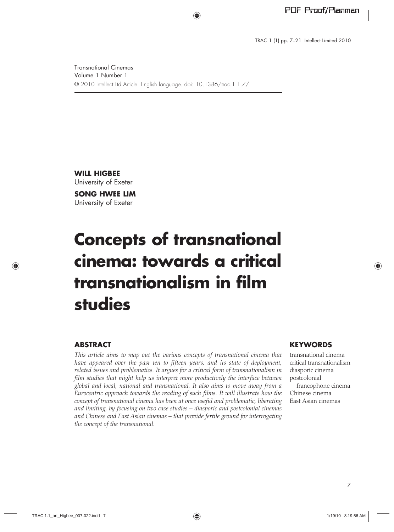TRAC 1 (1) pp. 7-21 Intellect Limited 2010

**Transnational Cinemas** Volume 1 Number 1 © 2010 Intellect Ltd Article. English language. doi: 10.1386/trac.1.1.7/1

♠

**WILL HIGBEE** University of Exeter

**SONG HWEE LIM** University of Exeter

# **Concepts of transnational** cinema: towards a critical transnationalism in film **studies**

#### **ABSTRACT**

◈

This article aims to map out the various concepts of transnational cinema that have appeared over the past ten to fifteen years, and its state of deployment, related issues and problematics. It argues for a critical form of transnationalism in film studies that might help us interpret more productively the interface between global and local, national and transnational. It also aims to move away from a Eurocentric approach towards the reading of such films. It will illustrate how the concept of transnational cinema has been at once useful and problematic, liberating and limiting, by focusing on two case studies - diasporic and postcolonial cinemas and Chinese and East Asian cinemas – that provide fertile ground for interrogating the concept of the transnational.

## **KEYWORDS**

transnational cinema critical transnationalism diasporic cinema postcolonial francophone cinema Chinese cinema East Asian cinemas

⊕

 $\overline{7}$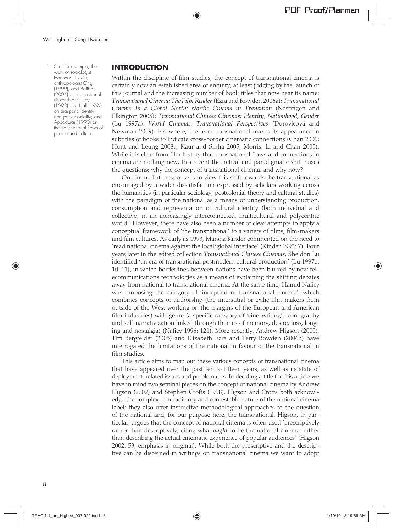1. See, for example, the work of sociologist Hannerz (1996) anthropologist Ong (1999), and Balibar (2004) on transnational citizenship; Gilroy (1993) and Hall (1990) on diasporic identity and postcoloniality; and Appadurai (1990) on the transnational flows of people and culture.

#### **INTRODUCTION**

Within the discipline of film studies, the concept of transnational cinema is certainly now an established area of enquiry, at least judging by the launch of this journal and the increasing number of book titles that now bear its name: Transnational Cinema: The Film Reader (Ezra and Rowden 2006a); Transnational Cinema In a Global North: Nordic Cinema in Transition (Nestingen and Elkington 2005); Transnational Chinese Cinemas: Identity, Nationhood, Gender (Lu 1997a); World Cinemas, Transnational Perspectives (Durovicová and Newman 2009). Elsewhere, the term transnational makes its appearance in subtitles of books to indicate cross-border cinematic connections (Chan 2009; Hunt and Leung 2008a; Kaur and Sinha 2005; Morris, Li and Chan 2005). While it is clear from film history that transnational flows and connections in cinema are nothing new, this recent theoretical and paradigmatic shift raises the questions: why the concept of transnational cinema, and why now?

⊕

One immediate response is to view this shift towards the transnational as encouraged by a wider dissatisfaction expressed by scholars working across the humanities (in particular sociology, postcolonial theory and cultural studies) with the paradigm of the national as a means of understanding production, consumption and representation of cultural identity (both individual and collective) in an increasingly interconnected, multicultural and polycentric world.<sup>1</sup> However, there have also been a number of clear attempts to apply a conceptual framework of 'the transnational' to a variety of films, film-makers and film cultures. As early as 1993, Marsha Kinder commented on the need to 'read national cinema against the local/global interface' (Kinder 1993: 7). Four years later in the edited collection Transnational Chinese Cinemas, Sheldon Lu identified 'an era of transnational postmodern cultural production' (Lu 1997b: 10–11), in which borderlines between nations have been blurred by new telecommunications technologies as a means of explaining the shifting debates away from national to transnational cinema. At the same time, Hamid Naficy was proposing the category of 'independent transnational cinema', which combines concepts of authorship (the interstitial or exilic film-makers from outside of the West working on the margins of the European and American film industries) with genre (a specific category of 'cine-writing', iconography and self-narrativization linked through themes of memory, desire, loss, longing and nostalgia) (Naficy 1996: 121). More recently, Andrew Higson (2000), Tim Bergfelder (2005) and Elizabeth Ezra and Terry Rowden (2006b) have interrogated the limitations of the national in favour of the transnational in film studies.

This article aims to map out these various concepts of transnational cinema that have appeared over the past ten to fifteen years, as well as its state of deployment, related issues and problematics. In deciding a title for this article we have in mind two seminal pieces on the concept of national cinema by Andrew Higson (2002) and Stephen Crofts (1998). Higson and Crofts both acknowledge the complex, contradictory and contestable nature of the national cinema label; they also offer instructive methodological approaches to the question of the national and, for our purpose here, the transnational. Higson, in particular, argues that the concept of national cinema is often used 'prescriptively rather than descriptively, citing what *ought* to be the national cinema, rather than describing the actual cinematic experience of popular audiences' (Higson 2002: 53; emphasis in original). While both the prescriptive and the descriptive can be discerned in writings on transnational cinema we want to adopt

8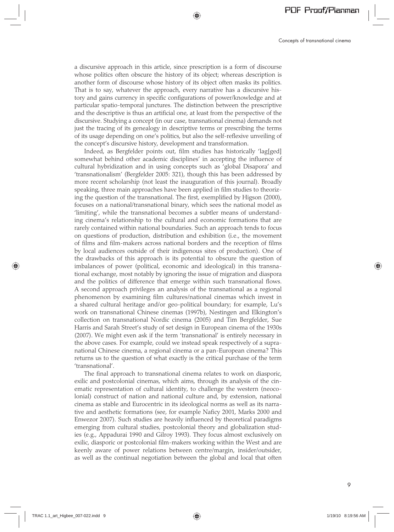a discursive approach in this article, since prescription is a form of discourse whose politics often obscure the history of its object; whereas description is another form of discourse whose history of its object often masks its politics. That is to say, whatever the approach, every narrative has a discursive history and gains currency in specific configurations of power/knowledge and at particular spatio-temporal junctures. The distinction between the prescriptive and the descriptive is thus an artificial one, at least from the perspective of the discursive. Studying a concept (in our case, transnational cinema) demands not just the tracing of its genealogy in descriptive terms or prescribing the terms of its usage depending on one's politics, but also the self-reflexive unveiling of the concept's discursive history, development and transformation.

⊕

Indeed, as Bergfelder points out, film studies has historically 'lag[ged] somewhat behind other academic disciplines' in accepting the influence of cultural hybridization and in using concepts such as 'global Disapora' and 'transnationalism' (Bergfelder 2005: 321), though this has been addressed by more recent scholarship (not least the inauguration of this journal). Broadly speaking, three main approaches have been applied in film studies to theorizing the question of the transnational. The first, exemplified by Higson (2000), focuses on a national/transnational binary, which sees the national model as 'limiting', while the transnational becomes a subtler means of understanding cinema's relationship to the cultural and economic formations that are rarely contained within national boundaries. Such an approach tends to focus on questions of production, distribution and exhibition (i.e., the movement of films and film-makers across national borders and the reception of films by local audiences outside of their indigenous sites of production). One of the drawbacks of this approach is its potential to obscure the question of imbalances of power (political, economic and ideological) in this transnational exchange, most notably by ignoring the issue of migration and diaspora and the politics of difference that emerge within such transnational flows. A second approach privileges an analysis of the transnational as a regional phenomenon by examining film cultures/national cinemas which invest in a shared cultural heritage and/or geo-political boundary; for example, Lu's work on transnational Chinese cinemas (1997b), Nestingen and Elkington's collection on transnational Nordic cinema (2005) and Tim Bergfelder, Sue Harris and Sarah Street's study of set design in European cinema of the 1930s (2007). We might even ask if the term 'transnational' is entirely necessary in the above cases. For example, could we instead speak respectively of a supranational Chinese cinema, a regional cinema or a pan-European cinema? This returns us to the question of what exactly is the critical purchase of the term 'transnational'.

The final approach to transnational cinema relates to work on diasporic, exilic and postcolonial cinemas, which aims, through its analysis of the cinematic representation of cultural identity, to challenge the western (neocolonial) construct of nation and national culture and, by extension, national cinema as stable and Eurocentric in its ideological norms as well as its narrative and aesthetic formations (see, for example Naficy 2001, Marks 2000 and Enwezor 2007). Such studies are heavily influenced by theoretical paradigms emerging from cultural studies, postcolonial theory and globalization studies (e.g., Appadurai 1990 and Gilroy 1993). They focus almost exclusively on exilic, diasporic or postcolonial film-makers working within the West and are keenly aware of power relations between centre/margin, insider/outsider, as well as the continual negotiation between the global and local that often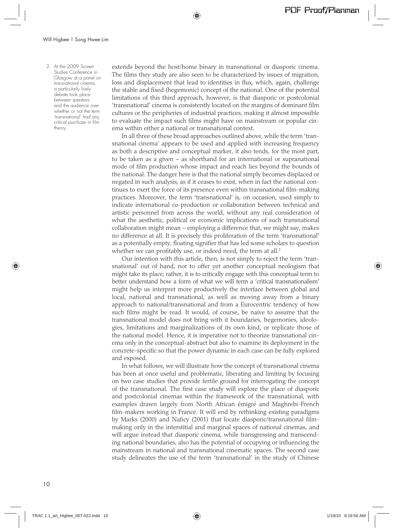2. At the 2009 Screen Studies Conference in Glasgow at a panel on transnational cinema, a particularly lively debate took place between speakers and the audience over whether or not the term 'transnational' had any critical purchase in film theory.

extends beyond the host/home binary in transnational or diasporic cinema. The films they study are also seen to be characterized by issues of migration, loss and displacement that lead to identities in flux, which, again, challenge the stable and fixed (hegemonic) concept of the national. One of the potential limitations of this third approach, however, is that diasporic or postcolonial 'transnational' cinema is consistently located on the margins of dominant film cultures or the peripheries of industrial practices, making it almost impossible to evaluate the impact such films might have on mainstream or popular cinema within either a national or transnational context.

⊕

In all three of these broad approaches outlined above, while the term 'transnational cinema' appears to be used and applied with increasing frequency as both a descriptive and conceptual marker, it also tends, for the most part, to be taken as a given – as shorthand for an international or supranational mode of film production whose impact and reach lies beyond the bounds of the national. The danger here is that the national simply becomes displaced or negated in such analysis, as if it ceases to exist, when in fact the national continues to exert the force of its presence even within transnational film-making practices. Moreover, the term 'transnational' is, on occasion, used simply to indicate international co-production or collaboration between technical and artistic personnel from across the world, without any real consideration of what the aesthetic, political or economic implications of such transnational collaboration might mean – employing a difference that, we might say, makes no difference at all. It is precisely this proliferation of the term 'transnational' as a potentially empty, floating signifier that has led some scholars to question whether we can profitably use, or indeed need, the term at all.<sup>2</sup>

Our intention with this article, then, is not simply to reject the term 'transnational' out of hand, nor to offer yet another conceptual neologism that might take its place; rather, it is to critically engage with this conceptual term to better understand how a form of what we will term a 'critical transnationalism' might help us interpret more productively the interface between global and local, national and transnational, as well as moving away from a binary approach to national/transnational and from a Eurocentric tendency of how such films might be read. It would, of course, be naïve to assume that the transnational model does not bring with it boundaries, hegemonies, ideologies, limitations and marginalizations of its own kind, or replicate those of the national model. Hence, it is imperative not to theorize transnational cinema only in the conceptual-abstract but also to examine its deployment in the concrete-specific so that the power dynamic in each case can be fully explored and exposed.

In what follows, we will illustrate how the concept of transnational cinema has been at once useful and problematic, liberating and limiting by focusing on two case studies that provide fertile ground for interrogating the concept of the transnational. The first case study will explore the place of diasporic and postcolonial cinemas within the framework of the transnational, with examples drawn largely from North African émigré and Maghrebi-French film-makers working in France. It will end by rethinking existing paradigms by Marks (2000) and Naficy (2001) that locate diasporic/transnational filmmaking only in the interstitial and marginal spaces of national cinemas, and will argue instead that diasporic cinema, while transgressing and transcending national boundaries, also has the potential of occupying or influencing the mainstream in national and transnational cinematic spaces. The second case study delineates the use of the term 'transnational' in the study of Chinese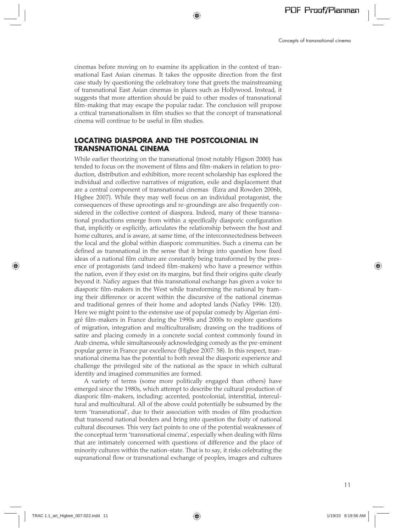cinemas before moving on to examine its application in the context of transnational East Asian cinemas. It takes the opposite direction from the first case study by questioning the celebratory tone that greets the mainstreaming of transnational East Asian cinemas in places such as Hollywood. Instead, it suggests that more attention should be paid to other modes of transnational film-making that may escape the popular radar. The conclusion will propose a critical transnationalism in film studies so that the concept of transnational cinema will continue to be useful in film studies.

### **LOCATING DIASPORA AND THE POSTCOLONIAL IN TRANSNATIONAL CINEMA**

While earlier theorizing on the transnational (most notably Higson 2000) has tended to focus on the movement of films and film-makers in relation to production, distribution and exhibition, more recent scholarship has explored the individual and collective narratives of migration, exile and displacement that are a central component of transnational cinemas (Ezra and Rowden 2006b, Higbee 2007). While they may well focus on an individual protagonist, the consequences of these uprootings and re-groundings are also frequently considered in the collective context of diaspora. Indeed, many of these transnational productions emerge from within a specifically diasporic configuration that, implicitly or explicitly, articulates the relationship between the host and home cultures, and is aware, at same time, of the interconnectedness between the local and the global within diasporic communities. Such a cinema can be defined as transnational in the sense that it brings into question how fixed ideas of a national film culture are constantly being transformed by the presence of protagonists (and indeed film-makers) who have a presence within the nation, even if they exist on its margins, but find their origins quite clearly beyond it. Naficy argues that this transnational exchange has given a voice to diasporic film-makers in the West while transforming the national by framing their difference or accent within the discursive of the national cinemas and traditional genres of their home and adopted lands (Naficy 1996: 120). Here we might point to the extensive use of popular comedy by Algerian émigré film-makers in France during the 1990s and 2000s to explore questions of migration, integration and multiculturalism; drawing on the traditions of satire and placing comedy in a concrete social context commonly found in Arab cinema, while simultaneously acknowledging comedy as the pre-eminent popular genre in France par excellence (Higbee 2007: 58). In this respect, transnational cinema has the potential to both reveal the diasporic experience and challenge the privileged site of the national as the space in which cultural identity and imagined communities are formed.

A variety of terms (some more politically engaged than others) have emerged since the 1980s, which attempt to describe the cultural production of diasporic film-makers, including: accented, postcolonial, interstitial, intercultural and multicultural. All of the above could potentially be subsumed by the term 'transnational', due to their association with modes of film production that transcend national borders and bring into question the fixity of national cultural discourses. This very fact points to one of the potential weaknesses of the conceptual term 'transnational cinema', especially when dealing with films that are intimately concerned with questions of difference and the place of minority cultures within the nation-state. That is to say, it risks celebrating the supranational flow or transnational exchange of peoples, images and cultures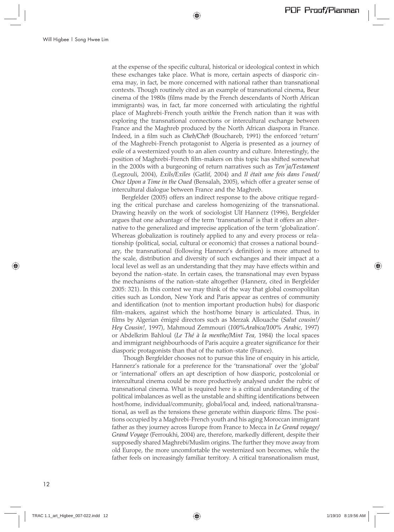at the expense of the specific cultural, historical or ideological context in which these exchanges take place. What is more, certain aspects of diasporic cinema may, in fact, be more concerned with national rather than transnational contexts. Though routinely cited as an example of transnational cinema, Beur cinema of the 1980s (films made by the French descendants of North African immigrants) was, in fact, far more concerned with articulating the rightful place of Maghrebi-French youth *within* the French nation than it was with exploring the transnational connections or intercultural exchange between France and the Maghreb produced by the North African diaspora in France. Indeed, in a film such as *Cheb/Cheb* (Bouchareb, 1991) the enforced 'return' of the Maghrebi-French protagonist to Algeria is presented as a journey of exile of a westernized youth to an alien country and culture. Interestingly, the position of Maghrebi-French film-makers on this topic has shifted somewhat in the 2000s with a burgeoning of return narratives such as Ten'ja/Testament (Legzouli, 2004), Exils/Exiles (Gatlif, 2004) and Il était une fois dans l'oued/ Once Upon a Time in the Oued (Bensalah, 2005), which offer a greater sense of intercultural dialogue between France and the Maghreb.

◈

Bergfelder (2005) offers an indirect response to the above critique regarding the critical purchase and careless homogenizing of the transnational. Drawing heavily on the work of sociologist Ulf Hannerz (1996), Bergfelder argues that one advantage of the term 'transnational' is that it offers an alternative to the generalized and imprecise application of the term 'globalization'. Whereas globalization is routinely applied to any and every process or relationship (political, social, cultural or economic) that crosses a national boundary, the transnational (following Hannerz's definition) is more attuned to the scale, distribution and diversity of such exchanges and their impact at a local level as well as an understanding that they may have effects within and beyond the nation-state. In certain cases, the transnational may even bypass the mechanisms of the nation-state altogether (Hannerz, cited in Bergfelder 2005: 321). In this context we may think of the way that global cosmopolitan cities such as London, New York and Paris appear as centres of community and identification (not to mention important production hubs) for diasporic film-makers, against which the host/home binary is articulated. Thus, in films by Algerian émigré directors such as Merzak Allouache (Salut cousin!/ Hey Cousin!, 1997), Mahmoud Zemmouri (100%Arabica/100% Arabic, 1997) or Abdelkrim Bahloul (Le Thé à la menthe/Mint Tea, 1984) the local spaces and immigrant neighbourhoods of Paris acquire a greater significance for their diasporic protagonists than that of the nation-state (France).

Though Bergfelder chooses not to pursue this line of enquiry in his article, Hannerz's rationale for a preference for the 'transnational' over the 'global' or 'international' offers an apt description of how diasporic, postcolonial or intercultural cinema could be more productively analysed under the rubric of transnational cinema. What is required here is a critical understanding of the political imbalances as well as the unstable and shifting identifications between host/home, individual/community, global/local and, indeed, national/transnational, as well as the tensions these generate within diasporic films. The positions occupied by a Maghrebi-French youth and his aging Moroccan immigrant father as they journey across Europe from France to Mecca in Le Grand voyage/ Grand Voyage (Ferroukhi, 2004) are, therefore, markedly different, despite their supposedly shared Maghrebi/Muslim origins. The further they move away from old Europe, the more uncomfortable the westernized son becomes, while the father feels on increasingly familiar territory. A critical transnationalism must,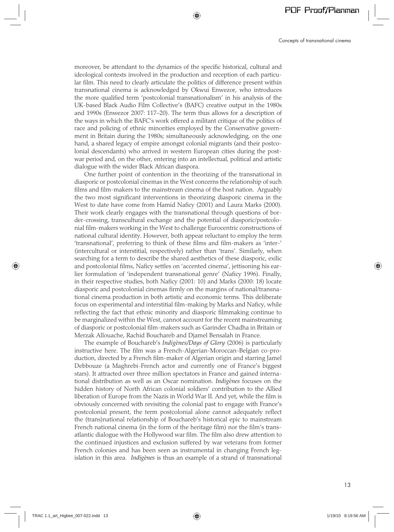moreover, be attendant to the dynamics of the specific historical, cultural and ideological contexts involved in the production and reception of each particular film. This need to clearly articulate the politics of difference present within transnational cinema is acknowledged by Okwui Enwezor, who introduces the more qualified term 'postcolonial transnationalism' in his analysis of the UK-based Black Audio Film Collective's (BAFC) creative output in the 1980s and 1990s (Enwezor 2007: 117–20). The term thus allows for a description of the ways in which the BAFC's work offered a militant critique of the politics of race and policing of ethnic minorities employed by the Conservative government in Britain during the 1980s; simultaneously acknowledging, on the one hand, a shared legacy of empire amongst colonial migrants (and their postcolonial descendants) who arrived in western European cities during the postwar period and, on the other, entering into an intellectual, political and artistic dialogue with the wider Black African diaspora.

One further point of contention in the theorizing of the transnational in diasporic or postcolonial cinemas in the West concerns the relationship of such films and film-makers to the mainstream cinema of the host nation. Arguably the two most significant interventions in theorizing diasporic cinema in the West to date have come from Hamid Naficy (2001) and Laura Marks (2000). Their work clearly engages with the transnational through questions of border-crossing, transcultural exchange and the potential of diasporic/postcolonial film-makers working in the West to challenge Eurocentric constructions of national cultural identity. However, both appear reluctant to employ the term 'transnational', preferring to think of these films and film-makers as 'inter-' (intercultural or interstitial, respectively) rather than 'trans'. Similarly, when searching for a term to describe the shared aesthetics of these diasporic, exilic and postcolonial films, Naficy settles on 'accented cinema', jettisoning his earlier formulation of 'independent transnational genre' (Naficy 1996). Finally, in their respective studies, both Naficy (2001: 10) and Marks (2000: 18) locate diasporic and postcolonial cinemas firmly on the margins of national/transnational cinema production in both artistic and economic terms. This deliberate focus on experimental and interstitial film-making by Marks and Naficy, while reflecting the fact that ethnic minority and diasporic filmmaking continue to be marginalized within the West, cannot account for the recent mainstreaming of diasporic or postcolonial film-makers such as Garinder Chadha in Britain or Merzak Allouache, Rachid Bouchareb and Djamel Bensalah in France.

The example of Bouchareb's Indigènes/Days of Glory (2006) is particularly instructive here. The film was a French-Algerian-Moroccan-Belgian co-production, directed by a French film-maker of Algerian origin and starring Jamel Debbouze (a Maghrebi-French actor and currently one of France's biggest stars). It attracted over three million spectators in France and gained international distribution as well as an Oscar nomination. *Indigènes* focuses on the hidden history of North African colonial soldiers' contribution to the Allied liberation of Europe from the Nazis in World War II. And yet, while the film is obviously concerned with revisiting the colonial past to engage with France's postcolonial present, the term postcolonial alone cannot adequately reflect the (trans)national relationship of Bouchareb's historical epic to mainstream French national cinema (in the form of the heritage film) nor the film's transatlantic dialogue with the Hollywood war film. The film also drew attention to the continued injustices and exclusion suffered by war veterans from former French colonies and has been seen as instrumental in changing French legislation in this area. Indigènes is thus an example of a strand of transnational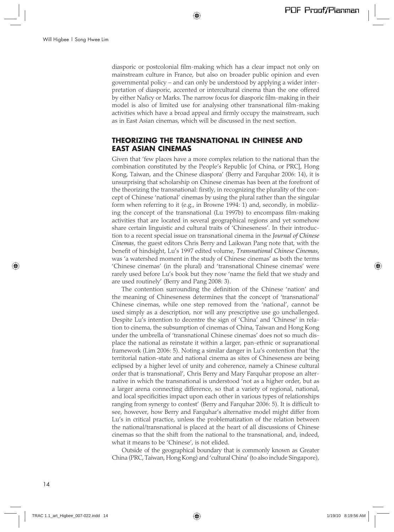diasporic or postcolonial film-making which has a clear impact not only on mainstream culture in France, but also on broader public opinion and even governmental policy – and can only be understood by applying a wider interpretation of diasporic, accented or intercultural cinema than the one offered by either Naficy or Marks. The narrow focus for diasporic film-making in their model is also of limited use for analysing other transnational film-making activities which have a broad appeal and firmly occupy the mainstream, such as in East Asian cinemas, which will be discussed in the next section.

⊕

#### **THEORIZING THE TRANSNATIONAL IN CHINESE AND EAST ASIAN CINEMAS**

Given that 'few places have a more complex relation to the national than the combination constituted by the People's Republic [of China, or PRC], Hong Kong, Taiwan, and the Chinese diaspora' (Berry and Farquhar 2006: 14), it is unsurprising that scholarship on Chinese cinemas has been at the forefront of the theorizing the transnational: firstly, in recognizing the plurality of the concept of Chinese 'national' cinemas by using the plural rather than the singular form when referring to it (e.g., in Browne 1994: 1) and, secondly, in mobilizing the concept of the transnational (Lu 1997b) to encompass film-making activities that are located in several geographical regions and yet somehow share certain linguistic and cultural traits of 'Chineseness'. In their introduction to a recent special issue on transnational cinema in the Journal of Chinese Cinemas, the guest editors Chris Berry and Laikwan Pang note that, with the benefit of hindsight, Lu's 1997 edited volume, Transnational Chinese Cinemas, was 'a watershed moment in the study of Chinese cinemas' as both the terms 'Chinese cinemas' (in the plural) and 'transnational Chinese cinemas' were rarely used before Lu's book but they now 'name the field that we study and are used routinely' (Berry and Pang 2008: 3).

The contention surrounding the definition of the Chinese 'nation' and the meaning of Chineseness determines that the concept of 'transnational' Chinese cinemas, while one step removed from the 'national', cannot be used simply as a description, nor will any prescriptive use go unchallenged. Despite Lu's intention to decentre the sign of 'China' and 'Chinese' in relation to cinema, the subsumption of cinemas of China, Taiwan and Hong Kong under the umbrella of 'transnational Chinese cinemas' does not so much displace the national as reinstate it within a larger, pan-ethnic or supranational framework (Lim 2006: 5). Noting a similar danger in Lu's contention that 'the territorial nation-state and national cinema as sites of Chineseness are being eclipsed by a higher level of unity and coherence, namely a Chinese cultural order that is transnational', Chris Berry and Mary Farquhar propose an alternative in which the transnational is understood 'not as a higher order, but as a larger arena connecting difference, so that a variety of regional, national, and local specificities impact upon each other in various types of relationships ranging from synergy to contest' (Berry and Farquhar 2006: 5). It is difficult to see, however, how Berry and Farquhar's alternative model might differ from Lu's in critical practice, unless the problematization of the relation between the national/transnational is placed at the heart of all discussions of Chinese cinemas so that the shift from the national to the transnational, and, indeed, what it means to be 'Chinese', is not elided.

Outside of the geographical boundary that is commonly known as Greater China (PRC, Taiwan, Hong Kong) and 'cultural China' (to also include Singapore),

◈

♠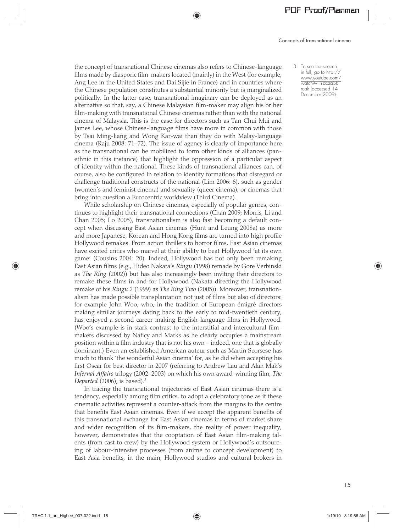Concepts of transnational cinema

the concept of transnational Chinese cinemas also refers to Chinese-language films made by diasporic film-makers located (mainly) in the West (for example, Ang Lee in the United States and Dai Sijie in France) and in countries where the Chinese population constitutes a substantial minority but is marginalized politically. In the latter case, transnational imaginary can be deployed as an alternative so that, say, a Chinese Malaysian film-maker may align his or her film-making with transnational Chinese cinemas rather than with the national cinema of Malaysia. This is the case for directors such as Tan Chui Mui and James Lee, whose Chinese-language films have more in common with those by Tsai Ming-liang and Wong Kar-wai than they do with Malay-language cinema (Raju 2008: 71-72). The issue of agency is clearly of importance here as the transnational can be mobilized to form other kinds of alliances (panethnic in this instance) that highlight the oppression of a particular aspect of identity within the national. These kinds of transnational alliances can, of course, also be configured in relation to identity formations that disregard or challenge traditional constructs of the national (Lim 2006: 6), such as gender (women's and feminist cinema) and sexuality (queer cinema), or cinemas that bring into question a Eurocentric worldview (Third Cinema).

⊕

While scholarship on Chinese cinemas, especially of popular genres, continues to highlight their transnational connections (Chan 2009; Morris, Li and Chan 2005; Lo 2005), transnationalism is also fast becoming a default concept when discussing East Asian cinemas (Hunt and Leung 2008a) as more and more Japanese, Korean and Hong Kong films are turned into high profile Hollywood remakes. From action thrillers to horror films, East Asian cinemas have excited critics who marvel at their ability to beat Hollywood 'at its own game' (Cousins 2004: 20). Indeed, Hollywood has not only been remaking East Asian films (e.g., Hideo Nakata's Ringu (1998) remade by Gore Verbinski as The Ring (2002)) but has also increasingly been inviting their directors to remake these films in and for Hollywood (Nakata directing the Hollywood remake of his Ringu 2 (1999) as The Ring Two (2005)). Moreover, transnationalism has made possible transplantation not just of films but also of directors: for example John Woo, who, in the tradition of European émigré directors making similar journeys dating back to the early to mid-twentieth century, has enjoyed a second career making English-language films in Hollywood. (Woo's example is in stark contrast to the interstitial and intercultural filmmakers discussed by Naficy and Marks as he clearly occupies a mainstream position within a film industry that is not his own - indeed, one that is globally dominant.) Even an established American auteur such as Martin Scorsese has much to thank 'the wonderful Asian cinema' for, as he did when accepting his first Oscar for best director in 2007 (referring to Andrew Lau and Alan Mak's Infernal Affairs trilogy (2002–2003) on which his own award-winning film, The Departed  $(2006)$ , is based).<sup>3</sup>

In tracing the transnational trajectories of East Asian cinemas there is a tendency, especially among film critics, to adopt a celebratory tone as if these cinematic activities represent a counter-attack from the margins to the centre that benefits East Asian cinemas. Even if we accept the apparent benefits of this transnational exchange for East Asian cinemas in terms of market share and wider recognition of its film-makers, the reality of power inequality, however, demonstrates that the cooptation of East Asian film-making talents (from cast to crew) by the Hollywood system or Hollywood's outsourcing of labour-intensive processes (from anime to concept development) to East Asia benefits, in the main, Hollywood studios and cultural brokers in

◈

3. To see the speech in full, go to http:// www.youtube.com/ watch?v=YbbzaS8 rcak laccessed 14 December 2009).

 $15$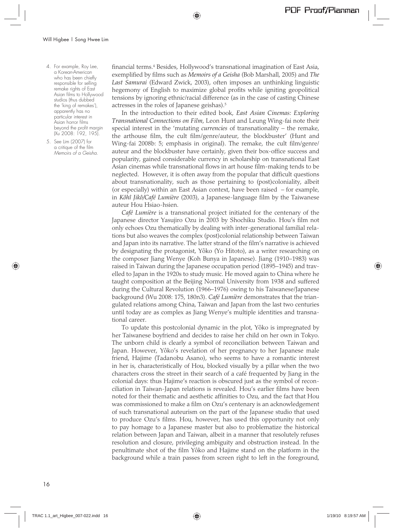4. For example, Roy Lee, a Korean-American who has been chiefly responsible for selling remake rights of East Asian films to Hollywood studios (thus dubbed the 'king of remakes') apparently has no particular interest in Asian horror films beyond the profit margin (Xu 2008: 192, 195).

5. See Lim (2007) for a critique of the film Memoirs of a Geisha. financial terms.<sup>4</sup> Besides, Hollywood's transnational imagination of East Asia, exemplified by films such as *Memoirs of a Geisha* (Bob Marshall, 2005) and *The* Last Samurai (Edward Zwick, 2003), often imposes an unthinking linguistic hegemony of English to maximize global profits while igniting geopolitical tensions by ignoring ethnic/racial difference (as in the case of casting Chinese actresses in the roles of Japanese geishas).<sup>5</sup>

⊕

In the introduction to their edited book, East Asian Cinemas: Exploring Transnational Connections on Film, Leon Hunt and Leung Wing-fai note their special interest in the 'mutating currencies of transnationality - the remake, the arthouse film, the cult film/genre/auteur, the blockbuster' (Hunt and Wing-fai 2008b: 5; emphasis in original). The remake, the cult film/genre/ auteur and the blockbuster have certainly, given their box-office success and popularity, gained considerable currency in scholarship on transnational East Asian cinemas while transnational flows in art house film-making tends to be neglected. However, it is often away from the popular that difficult questions about transnationality, such as those pertaining to (post)coloniality, albeit (or especially) within an East Asian context, have been raised - for example, in Kôhî Jikô/Café Lumière (2003), a Japanese-language film by the Taiwanese auteur Hou Hsiao-hsien.

Café Lumière is a transnational project initiated for the centenary of the Japanese director Yasujiro Ozu in 2003 by Shochiku Studio. Hou's film not only echoes Ozu thematically by dealing with inter-generational familial relations but also weaves the complex (post)colonial relationship between Taiwan and Japan into its narrative. The latter strand of the film's narrative is achieved by designating the protagonist, Yôko (Yo Hitoto), as a writer researching on the composer Jiang Wenye (Koh Bunya in Japanese). Jiang (1910–1983) was raised in Taiwan during the Japanese occupation period (1895-1945) and travelled to Japan in the 1920s to study music. He moved again to China where he taught composition at the Beijing Normal University from 1938 and suffered during the Cultural Revolution (1966-1976) owing to his Taiwanese/Japanese background (Wu 2008: 175, 180n3). Café Lumière demonstrates that the triangulated relations among China, Taiwan and Japan from the last two centuries until today are as complex as Jiang Wenye's multiple identities and transnational career.

To update this postcolonial dynamic in the plot, Yôko is impregnated by her Taiwanese boyfriend and decides to raise her child on her own in Tokyo. The unborn child is clearly a symbol of reconciliation between Taiwan and Japan. However, Yôko's revelation of her pregnancy to her Japanese male friend, Hajime (Tadanobu Asano), who seems to have a romantic interest in her is, characteristically of Hou, blocked visually by a pillar when the two characters cross the street in their search of a café frequented by Jiang in the colonial days: thus Hajime's reaction is obscured just as the symbol of reconciliation in Taiwan-Japan relations is revealed. Hou's earlier films have been noted for their thematic and aesthetic affinities to Ozu, and the fact that Hou was commissioned to make a film on Ozu's centenary is an acknowledgement of such transnational auteurism on the part of the Japanese studio that used to produce Ozu's films. Hou, however, has used this opportunity not only to pay homage to a Japanese master but also to problematize the historical relation between Japan and Taiwan, albeit in a manner that resolutely refuses resolution and closure, privileging ambiguity and obstruction instead. In the penultimate shot of the film Yôko and Hajime stand on the platform in the background while a train passes from screen right to left in the foreground,

♠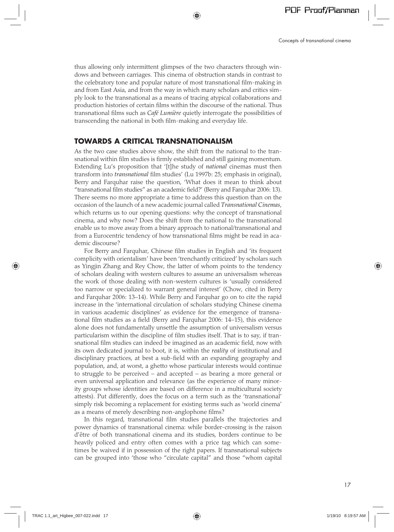thus allowing only intermittent glimpses of the two characters through windows and between carriages. This cinema of obstruction stands in contrast to the celebratory tone and popular nature of most transnational film-making in and from East Asia, and from the way in which many scholars and critics simply look to the transnational as a means of tracing atypical collaborations and production histories of certain films within the discourse of the national. Thus transnational films such as *Café Lumière* quietly interrogate the possibilities of transcending the national in both film-making and everyday life.

#### **TOWARDS A CRITICAL TRANSNATIONALISM**

As the two case studies above show, the shift from the national to the transnational within film studies is firmly established and still gaining momentum. Extending Lu's proposition that '[t]he study of *national* cinemas must then transform into transnational film studies' (Lu 1997b: 25; emphasis in original), Berry and Farguhar raise the question, 'What does it mean to think about "transnational film studies" as an academic field?' (Berry and Farquhar 2006: 13). There seems no more appropriate a time to address this question than on the occasion of the launch of a new academic journal called Transnational Cinemas, which returns us to our opening questions: why the concept of transnational cinema, and why now? Does the shift from the national to the transnational enable us to move away from a binary approach to national/transnational and from a Eurocentric tendency of how transnational films might be read in academic discourse?

For Berry and Farquhar, Chinese film studies in English and 'its frequent complicity with orientalism' have been 'trenchantly criticized' by scholars such as Yingjin Zhang and Rey Chow, the latter of whom points to the tendency of scholars dealing with western cultures to assume an universalism whereas the work of those dealing with non-western cultures is 'usually considered too narrow or specialized to warrant general interest' (Chow, cited in Berry and Farquhar 2006: 13-14). While Berry and Farquhar go on to cite the rapid increase in the 'international circulation of scholars studying Chinese cinema in various academic disciplines' as evidence for the emergence of transnational film studies as a field (Berry and Farquhar 2006: 14-15), this evidence alone does not fundamentally unsettle the assumption of universalism versus particularism within the discipline of film studies itself. That is to say, if transnational film studies can indeed be imagined as an academic field, now with its own dedicated journal to boot, it is, within the *reality* of institutional and disciplinary practices, at best a sub-field with an expanding geography and population, and, at worst, a ghetto whose particular interests would continue to struggle to be perceived – and accepted – as bearing a more general or even universal application and relevance (as the experience of many minority groups whose identities are based on difference in a multicultural society attests). Put differently, does the focus on a term such as the 'transnational' simply risk becoming a replacement for existing terms such as 'world cinema' as a means of merely describing non-anglophone films?

In this regard, transnational film studies parallels the trajectories and power dynamics of transnational cinema: while border-crossing is the raison d'être of both transnational cinema and its studies, borders continue to be heavily policed and entry often comes with a price tag which can sometimes be waived if in possession of the right papers. If transnational subjects can be grouped into 'those who "circulate capital" and those "whom capital

◈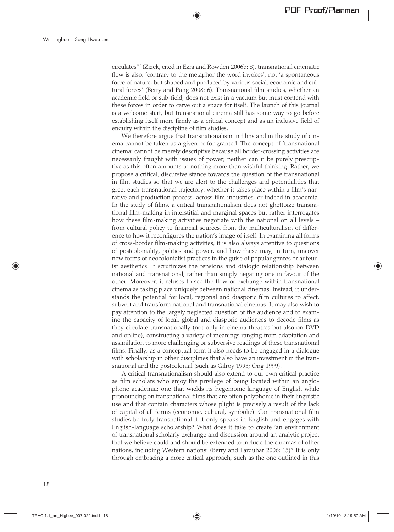circulates"' (Zizek, cited in Ezra and Rowden 2006b: 8), transnational cinematic flow is also, 'contrary to the metaphor the word invokes', not 'a spontaneous force of nature, but shaped and produced by various social, economic and cultural forces' (Berry and Pang 2008: 6). Transnational film studies, whether an academic field or sub-field, does not exist in a vacuum but must contend with these forces in order to carve out a space for itself. The launch of this journal is a welcome start, but transnational cinema still has some way to go before establishing itself more firmly as a critical concept and as an inclusive field of enquiry within the discipline of film studies.

◈

We therefore argue that transnationalism in films and in the study of cinema cannot be taken as a given or for granted. The concept of 'transnational cinema' cannot be merely descriptive because all border-crossing activities are necessarily fraught with issues of power; neither can it be purely prescriptive as this often amounts to nothing more than wishful thinking. Rather, we propose a critical, discursive stance towards the question of the transnational in film studies so that we are alert to the challenges and potentialities that greet each transnational trajectory: whether it takes place within a film's narrative and production process, across film industries, or indeed in academia. In the study of films, a critical transnationalism does not ghettoize transnational film-making in interstitial and marginal spaces but rather interrogates how these film-making activities negotiate with the national on all levels from cultural policy to financial sources, from the multiculturalism of difference to how it reconfigures the nation's image of itself. In examining all forms of cross-border film-making activities, it is also always attentive to questions of postcoloniality, politics and power, and how these may, in turn, uncover new forms of neocolonialist practices in the guise of popular genres or auteurist aesthetics. It scrutinizes the tensions and dialogic relationship between national and transnational, rather than simply negating one in favour of the other. Moreover, it refuses to see the flow or exchange within transnational cinema as taking place uniquely between national cinemas. Instead, it understands the potential for local, regional and diasporic film cultures to affect, subvert and transform national and transnational cinemas. It may also wish to pay attention to the largely neglected question of the audience and to examine the capacity of local, global and diasporic audiences to decode films as they circulate transnationally (not only in cinema theatres but also on DVD and online), constructing a variety of meanings ranging from adaptation and assimilation to more challenging or subversive readings of these transnational films. Finally, as a conceptual term it also needs to be engaged in a dialogue with scholarship in other disciplines that also have an investment in the transnational and the postcolonial (such as Gilroy 1993; Ong 1999).

A critical transnationalism should also extend to our own critical practice as film scholars who enjoy the privilege of being located within an anglophone academia: one that wields its hegemonic language of English while pronouncing on transnational films that are often polyphonic in their linguistic use and that contain characters whose plight is precisely a result of the lack of capital of all forms (economic, cultural, symbolic). Can transnational film studies be truly transnational if it only speaks in English and engages with English-language scholarship? What does it take to create 'an environment of transnational scholarly exchange and discussion around an analytic project that we believe could and should be extended to include the cinemas of other nations, including Western nations' (Berry and Farquhar 2006: 15)? It is only through embracing a more critical approach, such as the one outlined in this

♠

18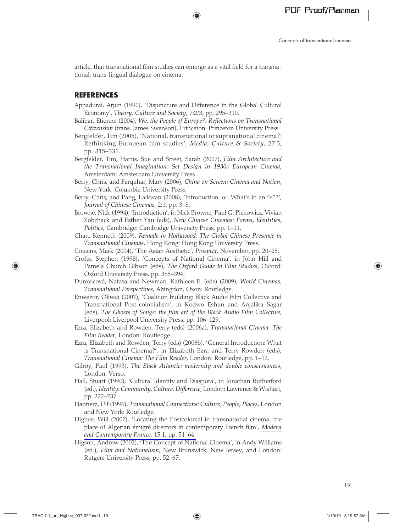article, that transnational film studies can emerge as a vital field for a transnational, trans-lingual dialogue on cinema.

⊕

#### **REFERENCES**

- Appadurai, Arjun (1990), 'Disjuncture and Difference in the Global Cultural Economy', Theory, Culture and Society, 7:2/3, pp. 295–310.
- Balibar, Etienne (2004), We, the People of Europe?: Reflections on Transnational Citizenship (trans. James Swenson), Princeton: Princeton University Press.
- Bergfelder, Tim (2005), 'National, transnational or supranational cinema?: Rethinking European film studies', Media, Culture & Society, 27:3, pp. 315-331.
- Bergfelder, Tim, Harris, Sue and Street, Sarah (2007), Film Architecture and the Transnational Imagination: Set Design in 1930s European Cinema, Amsterdam: Amsterdam University Press.
- Berry, Chris, and Farquhar, Mary (2006), China on Screen: Cinema and Nation, New York: Columbia University Press.
- Berry, Chris, and Pang, Laikwan (2008), 'Introduction, or, What's in an "s"?', Journal of Chinese Cinemas, 2:1, pp. 3-8.
- Browne, Nick (1994), 'Introduction', in Nick Browne, Paul G. Pickowicz, Vivian Sobchack and Esther Yau (eds), New Chinese Cinemas: Forms, Identities, Politics, Cambridge: Cambridge University Press, pp. 1–11.
- Chan, Kenneth (2009), Remade in Hollywood: The Global Chinese Presence in Transnational Cinemas, Hong Kong: Hong Kong University Press.
- Cousins, Mark (2004), 'The Asian Aesthetic', Prospect, November, pp. 20-25.
- Crofts, Stephen (1998), 'Concepts of National Cinema', in John Hill and Pamela Church Gibson (eds), The Oxford Guide to Film Studies, Oxford: Oxford University Press, pp. 385-394.
- Durovicová, Natasa and Newman, Kathleen E. (eds) (2009), World Cinemas, Transnational Perspectives, Abingdon, Oxon: Routledge.
- Enwezor, Okwui (2007), 'Coalition building: Black Audio Film Collective and Transnational Post-colonialism', in Kodwo Eshun and Anjalika Sagar (eds), The Ghosts of Songs: the film art of the Black Audio Film Collective, Liverpool: Liverpool University Press, pp. 106-129.
- Ezra, Elizabeth and Rowden, Terry (eds) (2006a), Transnational Cinema: The Film Reader, London: Routledge.
- Ezra, Elizabeth and Rowden, Terry (eds) (2006b), 'General Introduction: What is Transnational Cinema?', in Elizabeth Ezra and Terry Rowden (eds), Transnational Cinema: The Film Reader, London: Routledge, pp. 1-12.
- Gilroy, Paul (1993), The Black Atlantic: modernity and double consciousness, London: Verso.
- Hall, Stuart (1990), 'Cultural Identity and Diaspora', in Jonathan Rutherford (ed.), Identity: Community, Culture, Difference, London: Lawrence & Wishart, pp. 222-237.
- Hannerz, Ulf (1996), Transnational Connections: Culture, People, Places, London and New York: Routledge.
- Higbee, Will (2007), 'Locating the Postcolonial in transnational cinema: the place of Algerian émigré directors in contemporary French film', Modern and Contemporary France, 15:1, pp. 51-64.
- Higson, Andrew (2002), 'The Concept of National Cinema', in Andy Williams (ed.), Film and Nationalism, New Brunswick, New Jersey, and London: Rutgers University Press, pp. 52-67.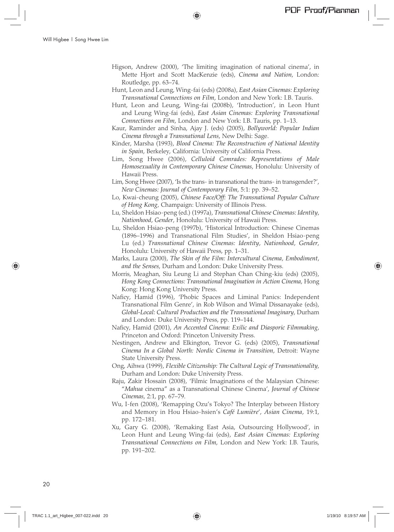Will Higbee | Song Hwee Lim

Higson, Andrew (2000), 'The limiting imagination of national cinema', in Mette Hjort and Scott MacKenzie (eds), Cinema and Nation, London: Routledge, pp. 63-74.

◈

- Hunt, Leon and Leung, Wing-fai (eds) (2008a), East Asian Cinemas: Exploring Transnational Connections on Film, London and New York: I.B. Tauris.
- Hunt, Leon and Leung, Wing-fai (2008b), 'Introduction', in Leon Hunt and Leung Wing-fai (eds), East Asian Cinemas: Exploring Transnational Connections on Film, London and New York: I.B. Tauris, pp. 1-13.
- Kaur, Raminder and Sinha, Ajay J. (eds) (2005), Bollyworld: Popular Indian Cinema through a Transnational Lens, New Delhi: Sage.
- Kinder, Marsha (1993), Blood Cinema: The Reconstruction of National Identity in Spain, Berkeley, California: University of California Press.
- Lim, Song Hwee (2006), Celluloid Comrades: Representations of Male Homosexuality in Contemporary Chinese Cinemas, Honolulu: University of Hawaii Press.
- Lim, Song Hwee (2007), 'Is the trans- in transnational the trans- in transgender?', New Cinemas: Journal of Contemporary Film, 5:1: pp. 39-52.
- Lo, Kwai-cheung (2005), Chinese Face/Off: The Transnational Popular Culture of Hong Kong, Champaign: University of Illinois Press.
- Lu, Sheldon Hsiao-peng (ed.) (1997a), Transnational Chinese Cinemas: Identity, Nationhood, Gender, Honolulu: University of Hawaii Press.
- Lu, Sheldon Hsiao-peng (1997b), 'Historical Introduction: Chinese Cinemas (1896–1996) and Transnational Film Studies', in Sheldon Hsiao-peng Lu (ed.) Transnational Chinese Cinemas: Identity, Nationhood, Gender, Honolulu: University of Hawaii Press, pp. 1-31.
- Marks, Laura (2000), The Skin of the Film: Intercultural Cinema, Embodiment, and the Senses, Durham and London: Duke University Press.
- Morris, Meaghan, Siu Leung Li and Stephan Chan Ching-kiu (eds) (2005), Hong Kong Connections: Transnational Imagination in Action Cinema, Hong Kong: Hong Kong University Press.
- Naficy, Hamid (1996), 'Phobic Spaces and Liminal Panics: Independent Transnational Film Genre', in Rob Wilson and Wimal Dissanayake (eds), Global-Local: Cultural Production and the Transnational Imaginary, Durham and London: Duke University Press, pp. 119-144.
- Naficy, Hamid (2001), An Accented Cinema: Exilic and Diasporic Filmmaking, Princeton and Oxford: Princeton University Press.
- Nestingen, Andrew and Elkington, Trevor G. (eds) (2005), Transnational Cinema In a Global North: Nordic Cinema in Transition, Detroit: Wayne State University Press.
- Ong, Aihwa (1999), Flexible Citizenship: The Cultural Logic of Transnationality, Durham and London: Duke University Press.
- Raju, Zakir Hossain (2008), 'Filmic Imaginations of the Malaysian Chinese: "Mahua cinema" as a Transnational Chinese Cinema', Journal of Chinese Cinemas, 2:1, pp. 67-79.
- Wu, I-fen (2008), 'Remapping Ozu's Tokyo? The Interplay between History and Memory in Hou Hsiao-hsien's Café Lumière', Asian Cinema, 19:1, pp. 172-181.
- Xu, Gary G. (2008), 'Remaking East Asia, Outsourcing Hollywood', in Leon Hunt and Leung Wing-fai (eds), East Asian Cinemas: Exploring *Transnational Connections on Film, London and New York: I.B. Tauris,* pp. 191-202.

◈

⊕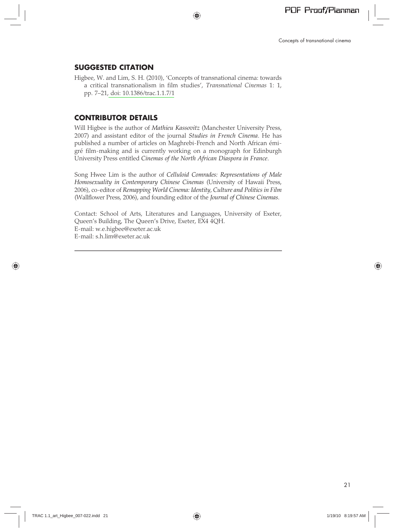#### **SUGGESTED CITATION**

Higbee, W. and Lim, S. H. (2010), 'Concepts of transnational cinema: towards a critical transnationalism in film studies', Transnational Cinemas 1: 1, pp. 7-21, doi: 10.1386/trac.1.1.7/1

♠

#### **CONTRIBUTOR DETAILS**

Will Higbee is the author of Mathieu Kassovitz (Manchester University Press, 2007) and assistant editor of the journal Studies in French Cinema. He has published a number of articles on Maghrebi-French and North African émigré film-making and is currently working on a monograph for Edinburgh University Press entitled Cinemas of the North African Diaspora in France.

Song Hwee Lim is the author of Celluloid Comrades: Representations of Male Homosexuality in Contemporary Chinese Cinemas (University of Hawaii Press, 2006), co-editor of Remapping World Cinema: Identity, Culture and Politics in Film (Wallflower Press, 2006), and founding editor of the Journal of Chinese Cinemas.

Contact: School of Arts, Literatures and Languages, University of Exeter, Queen's Building, The Queen's Drive, Exeter, EX4 4QH. E-mail: w.e.higbee@exeter.ac.uk E-mail: s.h.lim@exeter.ac.uk

⊕

⊕